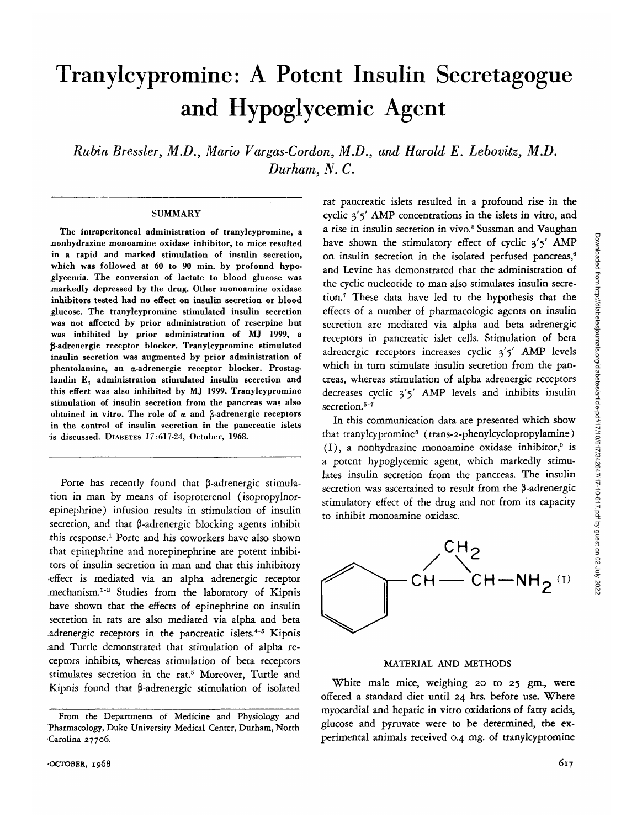# Tranylcypromine: A Potent Insulin Secretagogue and Hypoglycemic Agent

*Rubin Bressler, M.D., Mario Vargas-Cordon, M.D., and Harold E. Lebovitz, M.D. Durham, N. C.*

#### **SUMMARY**

The intraperitoneal administration of tranylcypromine, a nonhydrazine monoamine oxidase inhibitor, to mice resulted in a rapid and marked stimulation of insulin secretion, which was followed at 60 to 90 min. by profound hypo glycemia. The conversion of lactate to blood glucose was markedly depressed by the drug. Other monoamine oxidase inhibitors tested had no effect on insulin secretion or blood glucose. The tranylcypromine stimulated insulin secretion was not affected by prior administration of reserpine but was inhibited by prior administration of MJ 1999, a Ji-adrenergic receptor blocker. Tranylcypromine stimulated insulin secretion was augmented by prior administration of phentolamine, an a-adrenergic receptor blocker. Prostaglandin  $E_1$  administration stimulated insulin secretion and this effect was also inhibited by MJ 1999. Tranylcypromine stimulation of insulin secretion from the pancreas was also obtained in vitro. The role of  $\alpha$  and  $\beta$ -adrenergic receptors in the control of insulin secretion in the pancreatic islets is discussed. DIABETES *1*7:617-24, October, 1968.

Porte has recently found that  $\beta$ -adrenergic stimulation in man by means of isoproterenol (isopropylnor- ^pinephrine) infusion results in stimulation of insulin secretion, and that  $\beta$ -adrenergic blocking agents inhibit this response.1 Porte and his coworkers have also shown that epinephrine and norepinephrine are potent inhibitors of insulin secretion in man and that this inhibitory •effect is mediated via an alpha adrenergic receptor mechanism.<sup>1-3</sup> Studies from the laboratory of Kipnis have shown that the effects of epinephrine on insulin secretion in rats are also mediated via alpha and beta adrenergic receptors in the pancreatic islets.<sup>4-5</sup> Kipnis and Turtle demonstrated that stimulation of alpha receptors inhibits, whereas stimulation of beta receptors stimulates secretion in the rat.<sup>5</sup> Moreover, Turtle and Kipnis found that  $\beta$ -adrenergic stimulation of isolated rat pancreatic islets resulted in a profound rise in the cyclic 3\*5' AMP concentrations in the islets in vitro, and a rise in insulin secretion in vivo.<sup>5</sup> Sussman and Vaughan have shown the stimulatory effect of cyclic 3'5' AMP on insulin secretion in the isolated perfused pancreas,<sup>6</sup> and Levine has demonstrated that the administration of the cyclic nucleotide to man also stimulates insulin secretion.7 These data have led to the hypothesis that the effects of a number of pharmacologic agents on insulin secretion are mediated via alpha and beta adrenergic receptors in pancreatic islet cells. Stimulation of beta adrenergic receptors increases cyclic  $3'5'$  AMP levels which in turn stimulate insulin secretion from the pancreas, whereas stimulation of alpha adrenergic receptors decreases cyclic  $3'5'$  AMP levels and inhibits insulin secretion.<sup>5-7</sup>

In this communication data are presented which show that tranylcypromine<sup>8</sup> (trans-2-phenylcyclopropylamine) (I), a nonhydrazine monoamine oxidase inhibitor,<sup>9</sup> is a potent hypoglycemic agent, which markedly stimulates insulin secretion from the pancreas. The insulin secretion was ascertained to result from the  $\beta$ -adrenergic stimulatory effect of the drug and not from its capacity to inhibit monoamine oxidase.



#### MATERIAL AND METHODS

White male mice, weighing 20 to 25 gm., were offered a standard diet until 24 hrs. before use. Where myocardial and hepatic in vitro oxidations of fatty acids, glucose and pyruvate were to be determined, the experimental animals received 0.4 mg. of tranylcypromine

From the Departments of Medicine and Physiology and Pharmacology, Duke University Medical Center, Durham, North Carolina 27706.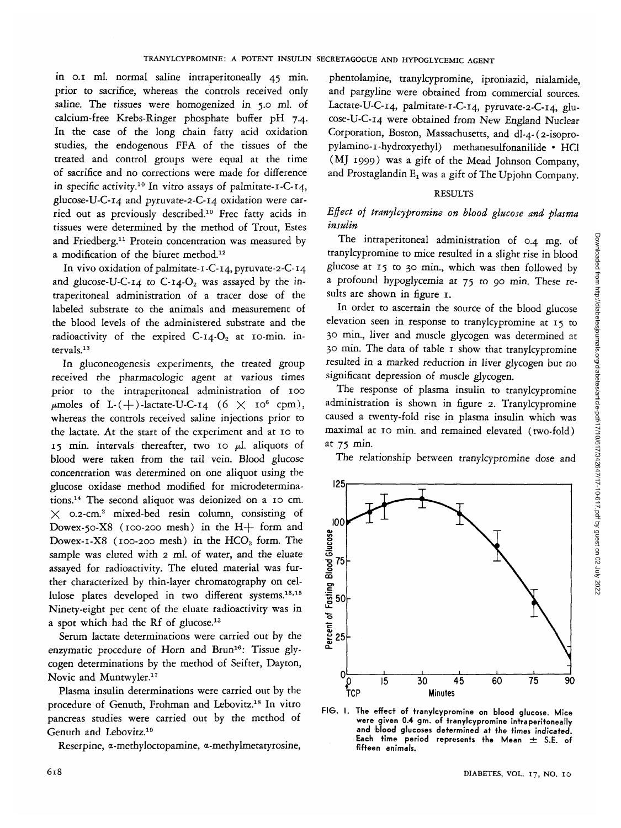in o.i ml. normal saline intraperitoneally 45 min. prior to sacrifice, whereas the controls received only saline. The tissues were homogenized in 5.0 ml. of calcium-free Krebs-Ringer phosphate buffer pH 7.4. In the case of the long chain fatty acid oxidation studies, the endogenous FFA of the tissues of the treated and control groups were equal at the time of sacrifice and no corrections were made for difference in specific activity.10 In vitro assays of palmitate-i-C-14, glucose-U-C-14 and pyruvate-2-C-i4 oxidation were carried out as previously described.10 Free fatty acids in tissues were determined by the method of Trout, Estes and Friedberg.<sup>11</sup> Protein concentration was measured by a modification of the biuret method.12

In vivo oxidation of palmitate-1-C-14, pyruvate-2-C-14 and glucose-U-C-14 to C-14- $O_2$  was assayed by the intraperitoneal administration of a tracer dose of the labeled substrate to the animals and measurement of the blood levels of the administered substrate and the radioactivity of the expired  $C$ -14- $O_2$  at 10-min. intervals.13

In gluconeogenesis experiments, the treated group received the pharmacologic agent at various times prior to the intraperitoneal administration of 100  $\mu$ moles of L-(+)-lactate-U-C-14 (6  $\times$  10<sup>6</sup> cpm), whereas the controls received saline injections prior to the lactate. At the start of the experiment and at 10 to 15 min. intervals thereafter, two 10  $\mu$ l. aliquots of blood were taken from the tail vein. Blood glucose concentration was determined on one aliquot using the glucose oxidase method modified for microdeterminations.14 The second aliquot was deionized on a 10 cm.  $\times$  0.2-cm.<sup>2</sup> mixed-bed resin column, consisting of Dowex-50-X8 (100-200 mesh) in the  $H+$  form and Dowex-1-X8 (100-200 mesh) in the  $HCO<sub>3</sub>$  form. The sample was eluted with 2 ml. of water, and the eluate assayed for radioactivity. The eluted material was further characterized by thin-layer chromatography on cellulose plates developed in two different systems.<sup>13,15</sup> Ninety-eight per cent of the eluate radioactivity was in a spot which had the Rf of glucose.13

Serum lactate determinations were carried out by the enzymatic procedure of Horn and Brun<sup>16</sup>: Tissue glycogen determinations by the method of Seifter, Dayton, Novic and Muntwyler.<sup>17</sup>

Plasma insulin determinations were carried out by the procedure of Genuth, Frohman and Lebovitz.<sup>18</sup> In vitro pancreas studies were carried out by the method of Genuth and Lebovitz.19

Reserpine, a-methyloctopamine, a-methylmetatyrosine,

phentolamine, tranylcypromine, iproniazid, nialamide, and pargyline were obtained from commercial sources. Lactate-U-C-14, palmitate-i-C-14, pyruvate-2-C-i4, glucose-U-C-14 were obtained from New England Nuclear Corporation, Boston, Massachusetts, and dl-4-(2-isopropylamino-i-hydroxyethyl) methanesulfonanilide • HC1 (MJ 1999) was a gift of the Mead Johnson Company, and Prostaglandin  $E_1$  was a gift of The Upjohn Company.

## RESULTS

# *Effect of tranylcypromine on blood glucose and plasma insulin*

The intraperitoneal administration of 0.4 mg. of tranylcypromine to mice resulted in a slight rise in blood glucose at 15 to 30 min., which was then followed by a profound hypoglycemia at 75 to 90 min. These results are shown in figure 1.

In order to ascertain the source of the blood glucose elevation seen in response to tranylcypromine at 15 to 30 min., liver and muscle glycogen was determined at 30 min. The data of table 1 show that tranylcypromine resulted in a marked reduction in liver glycogen but no significant depression of muscle glycogen.

The response of plasma insulin to tranylcypromine administration is shown in figure 2. Tranylcypromine caused a twenty-fold rise in plasma insulin which was maximal at 10 min. and remained elevated (two-fold) at 75 min.

The relationship between tranylcypromine dose and



**FIG. I. The effect of tranylcypromine on blood glucose. Mice were given 0.4 gm. of tranylcypromine intraperitoneally and blood glucoses determined at the times indicated.** Each time period represents the Mean  $\pm$  S.E. of **fifteen animals.**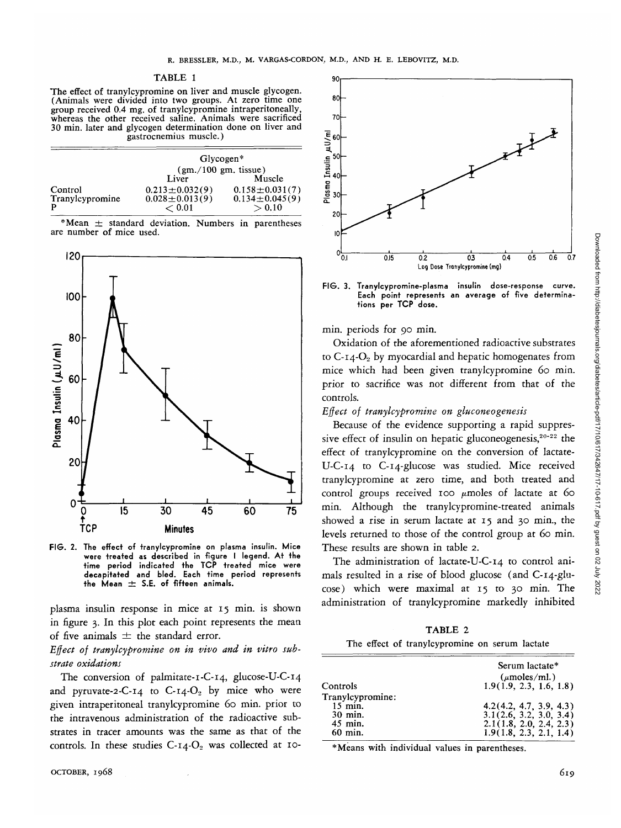#### TABLE 1

The effect of tranylcypromine on liver and muscle glycogen. (Animals were divided into two groups. At zero time one group received 0.4 mg, of tranylcypromine intraperitoneally, whereas the other received saline. Animals were sacrificed 30 min. later and glycogen determination done on liver and gastrocnemius muscle.)

|                 | $Glycogen*$          |                      |
|-----------------|----------------------|----------------------|
|                 | (gm./100 gm. tissue) |                      |
|                 | Liver                | Muscle               |
| Control         | $0.213 \pm 0.032(9)$ | $0.158 \pm 0.031(7)$ |
| Tranylcypromine | $0.028 \pm 0.013(9)$ | $0.134 \pm 0.045(9)$ |
| P               | < 0.01               | >0.10                |

\*Mean  $\pm$  standard deviation. Numbers in parentheses are number of mice used.



**FIG. 2. The effect of tranylcypromine on plasma insulin. Mice were treated as described in figure I legend. At the time period indicated the TCP treated mice were decapitated and bled. Each time period represents**  $the Mean  $\pm$  S.E. of fifteen animals.$ 

plasma insulin response in mice at 15 min. is shown in figure 3. In this plot each point represents the mean of five animals *±* the standard error.

## *Effect of tranylcypromine on in vivo and in vitro substrate oxidations*

The conversion of palmitate-1-C-14, glucose-U-C-14 and pyruvate-2-C-14 to C-14- $O_2$  by mice who were given intraperitoneal tranylcypromine 60 min. prior to the intravenous administration of the radioactive substrates in tracer amounts was the same as that of the controls. In these studies  $C$ -14- $O_2$  was collected at 10-



**FIG . 3. Tranylcypromine-plasma insulin dose-response curve. Each point represents an average of five determinations per TCP dose.**

min. periods for 90 min.

Oxidation of the aforementioned radioactive substrates to  $C$ -14- $O<sub>2</sub>$  by myocardial and hepatic homogenates from mice which had been given tranylcypromine *60* min. prior to sacrifice was not different from that of the controls.

## *Effect of tranylcypromine on gluconeogenesis*

Because of the evidence supporting a rapid suppressive effect of insulin on hepatic gluconeogenesis,<sup>20-22</sup> the effect of tranylcypromine on the conversion of lactate-U-C-14 to C-14-glucose was studied. Mice received tranylcypromine at zero time, and both treated and control groups received 100  $\mu$ moles of lactate at 60 min. Although the tranylcypromine-treated animals showed a rise in serum lactate at 15 and 30 min., the levels returned to those of the control group at *60* min. These results are shown in table 2.

The administration of lactate-U-C-14 to control animals resulted in a rise of blood glucose (and C-14-glucose) which were maximal at 15 to 30 min. The administration of tranylcypromine markedly inhibited

TABLE 2 The effect of tranylcypromine on serum lactate

|                  | Serum lactate*          |  |
|------------------|-------------------------|--|
|                  | $(\mu$ moles/ml.)       |  |
| Controls         | 1.9(1.9, 2.3, 1.6, 1.8) |  |
| Tranylcypromine: |                         |  |
| $15$ min.        | 4.2(4.2, 4.7, 3.9, 4.3) |  |
| 30 min.          | 3.1(2.6, 3.2, 3.0, 3.4) |  |
| 45 min.          | 2.1(1.8, 2.0, 2.4, 2.3) |  |
| $60$ min.        | 1.9(1.8, 2.3, 2.1, 1.4) |  |

\*Means with individual values in parentheses.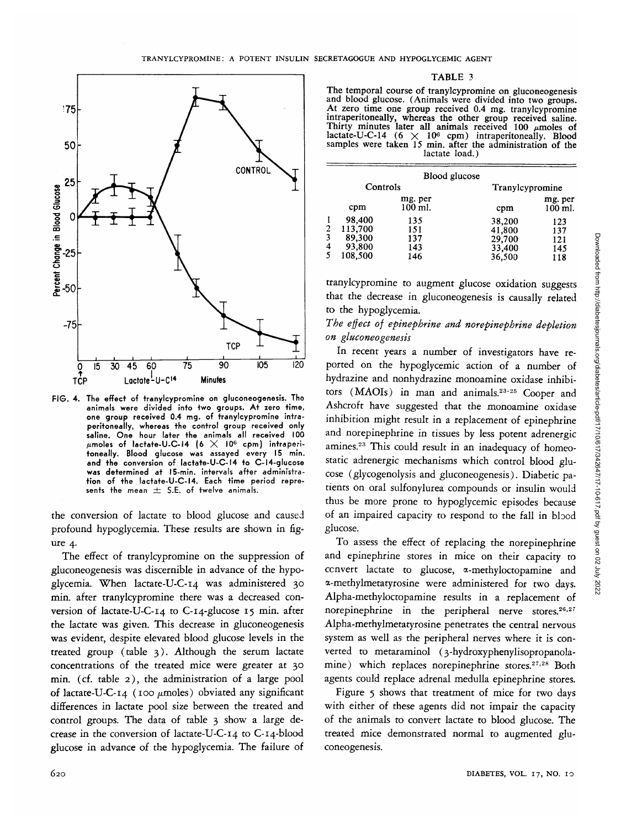

FIG. 4. The effect of tranylcypromine on gluconeogenesis. Tho animals were divided into two groups. At zero time, one group received 0.4 mg. of tranylcypromine intraperitoneally, whereas the control group received only saline. One hour later the animals all received 100  $\mu$ moles of lactate-U-C-14 (6  $\times$  10<sup>6</sup> cpm) intraperitoneally. Blood glucose was assayed every 15 min. and the conversion of lactate-U-C-14 to C-14-glucose was determined at 15-min. intervals after administration of the lactate-U-C-14. Each time period represents the mean  $\pm$  S.E. of twelve animals.

the conversion of lactate to blood glucose and caused profound hypoglycemia. These results are shown in figure 4.

The effect of tranylcypromine on the suppression of gluconeogenesis was discernible in advance of the hypoglycemia. When lactate-U-C-14 was administered 30 min. after tranylcypromine there was a decreased conversion of lactate-U-C-14 to C-14-glucose 15 min. after the lactate was given. This decrease in gluconeogenesis was evident, despite elevated blood glucose levels in the treated group (table 3). Although the serum lactate concentrations of the treated mice were greater at 30 min. (cf. table 2), the administration of a large pool of lactate-U-C-14 (100  $\mu$ moles) obviated any significant differences in lactate pool size between the treated and control groups. The data of table 3 show a large decrease in the conversion of lactate-U-C-14 to C-14-blood glucose in advance of the hypoglycemia. The failure of

#### TABLE 3

The temporal course of tranylcypromine on gluconeogenesis<br>and blood glucose. (Animals were divided into two groups.<br>At zero time one group received 0.4 mg. tranylcypromine<br>intraperitoneally, whereas the other group receiv samples were taken 15 min. after the administration of the lactate load.)

|   | Blood glucose                                    |                                 |                                                |                                 |
|---|--------------------------------------------------|---------------------------------|------------------------------------------------|---------------------------------|
|   | Controls                                         |                                 | Tranylcypromine                                |                                 |
|   | cpm                                              | mg. per<br>100 ml.              | cpm                                            | mg. per<br>100 ml.              |
| 1 | 98,400<br>113,700<br>89,300<br>93,800<br>108,500 | 135<br>151<br>137<br>143<br>146 | 38,200<br>41,800<br>29,700<br>33,400<br>36,500 | 123<br>137<br>121<br>145<br>118 |

tranylcypromine to augment glucose oxidation suggests that the decrease in gluconeogenesis is causally related to the hypoglycemia.

## *The effect of epinephrine and norepinephrine depletion on gluconeogenesis*

In recent years a number of investigators have reported on the hypoglycemic action of a number of hydrazine and nonhydrazine monoamine oxidase inhibitors  $(MAOIs)$  in man and animals.<sup>23-25</sup> Cooper and Ashcroft have suggested that the monoamine oxidase inhibition might result in a replacement of epinephrine and norepinephrine in tissues by less potent adrenergic amines.<sup>23</sup> This could result in an inadequacy of homeostatic adrenergic mechanisms which control blood glucose (glycogenolysis and gluconeogenesis). Diabetic patients on oral sulfonylurea compounds or insulin would thus be more prone to hypoglycemic episodes because of an impaired capacity to respond to the fall in blood glucose.

To assess the effect of replacing the norepinephrine and epinephrine stores in mice on their capacity to convert lactate to glucose, a-methyloctopamine and a-methylmetatyrosine were administered for two days. Alpha-methyloctopamine results in a replacement of norepinephrine in the peripheral nerve stores.<sup>26,27</sup> Alpha-methylmetatyrosine penetrates the central nervous system as well as the peripheral nerves where it is converted to metaraminol (3-hydroxyphenylisopropanolamine) which replaces norepinephrine stores.<sup>27,28</sup> Both agents could replace adrenal medulla epinephrine stores.

Figure 5 shows that treatment of mice for two days with either of these agents did not impair the capacity of the animals to convert lactate to blood glucose. The treated mice demonstrated normal to augmented gluconeogenesis.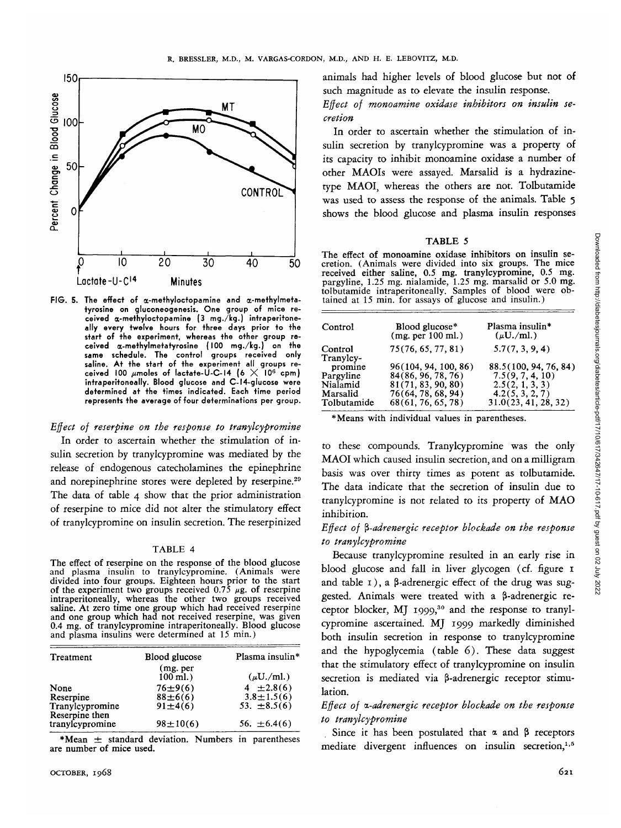

**FIG. 5. The effect of a-methyloctopamine and a-methylmetatyrosine on gluconeogenesis. One group of mice re**ceived a-methyloctopamine (3 mg./kg.) intraperitone**ally every twelve hours for three days prior to the start of the experiment, whereas the other group received (x-methylmetatyrosine (100 mg./kg.) on the same schedule. The control groups received only** saline. At the start of the experiment all groups re-<br>ceived 100 *u*moles of lactate-U-C-14 (6  $\times$  10<sup>6</sup> cpm) **intraperitoneally. Blood glucose and C-14-glucose were determined at the times indicated. Each time period represents the average of four determinations per group.**

#### *Effect of reserpine on the response to tranylcypromine*

In order to ascertain whether the stimulation of insulin secretion by tranylcypromine was mediated by the release of endogenous catecholamines the epinephrine and norepinephrine stores were depleted by reserpine.<sup>29</sup> The data of table 4 show that the prior administration of reserpine to mice did not alter the stimulatory effect of tranylcypromine on insulin secretion. The reserpinized

#### TABLE 4

The effect of reserpine on the response of the blood glucose<br>and plasma insulin to tranylcypromine. (Animals were<br>divided into four groups. Eighteen hours prior to the start<br>of the experiment two groups received  $0.75 \mu$ g saline. At zero time one group which had received reserpine<br>and one group which had not received reserpine, was given<br>0.4 mg. of tranylcypromine intraperitoneally. Blood glucose<br>and plasma insulins were determined at 15 mi

| Treatment                         | <b>Blood glucose</b>    | Plasma insulin*  |
|-----------------------------------|-------------------------|------------------|
|                                   | (mg. per)<br>$100$ ml.) | $(\mu U./ml.)$   |
| None                              | $76 \pm 9(6)$           | $4 \pm 2.8(6)$   |
| Reserpine                         | $88 \pm 6(6)$           | $3.8 \pm 1.5(6)$ |
| Tranylcypromine<br>Reserpine then | $91 \pm 4(6)$           | 53. $\pm 8.5(6)$ |
| tranylcypromine                   | $98 \pm 10(6)$          | 56. $\pm 6.4(6)$ |

\*Mean  $\pm$  standard deviation. Numbers in parentheses are number of mice used.

animals had higher levels of blood glucose but not of such magnitude as to elevate the insulin response.

*Effect of monoamine oxidase inhibitors on insulin secretion*

In order to ascertain whether the stimulation of insulin secretion by tranylcypromine was a property of its capacity to inhibit monoamine oxidase a number of other MAOIs were assayed. Marsalid is a hydrazinetype MAOI, whereas the others are not. Tolbutamide was used to assess the response of the animals. Table 5 shows the blood glucose and plasma insulin responses

#### TABLE 5

The effect of monoamine oxidase inhibitors on insulin se-<br>cretion. (Animals were divided into six groups. The mice<br>received either saline, 0.5 mg. tranylcypromine, 0.5 mg.<br>pargyline, 1.25 mg. nialamide, 1.25 mg. marsalid o

| Control              | Blood glucose*<br>(mg. per 100 ml.) | Plasma insulin*<br>$(\mu U./ml.)$ |
|----------------------|-------------------------------------|-----------------------------------|
| Control<br>Tranyley- | 75(76, 65, 77, 81)                  | 5.7(7, 3, 9, 4)                   |
| promine              | 96(104, 94, 100, 86)                | 88.5(100, 94, 76, 84)             |
| Pargyline            | 84(86, 96, 78, 76)                  | 7.5(9, 7, 4, 10)                  |
| Nialamid             | 81(71, 83, 90, 80)                  | 2.5(2, 1, 3, 3)                   |
| Marsalid             | 76(64, 78, 68, 94)                  | 4.2(5, 3, 2, 7)                   |
| Tolbutamide          | 68(61, 76, 65, 78)                  | 31.0(23, 41, 28, 32)              |

\* Means with individual values in parentheses.

to these compounds. Tranylcypromine was the only MAOI which caused insulin secretion, and on a milligram basis was over thirty times as potent as tolbutamide. The data indicate that the secretion of insulin due to tranylcypromine is not related to its property of MAO inhibition.

## *Effect of %-adrenergic receptor blockade on the response to tranylcypromine*

Because tranylcypromine resulted in an early rise in blood glucose and fall in liver glycogen (cf. figure 1 and table  $1$ ), a  $\beta$ -adrenergic effect of the drug was suggested. Animals were treated with a  $\beta$ -adrenergic receptor blocker, MJ 1999,<sup>30</sup> and the response to tranylcypromine ascertained. MJ 1999 markedly diminished both insulin secretion in response to tranylcypromine and the hypoglycemia (table 6). These data suggest that the stimulatory effect of tranylcypromine on insulin secretion is mediated via  $\beta$ -adrenergic receptor stimulation.

## *Effect of a-adrenergic receptor blockade on the response to tranylcypromine*

Since it has been postulated that  $\alpha$  and  $\beta$  receptors mediate divergent influences on insulin secretion,<sup>1,5</sup>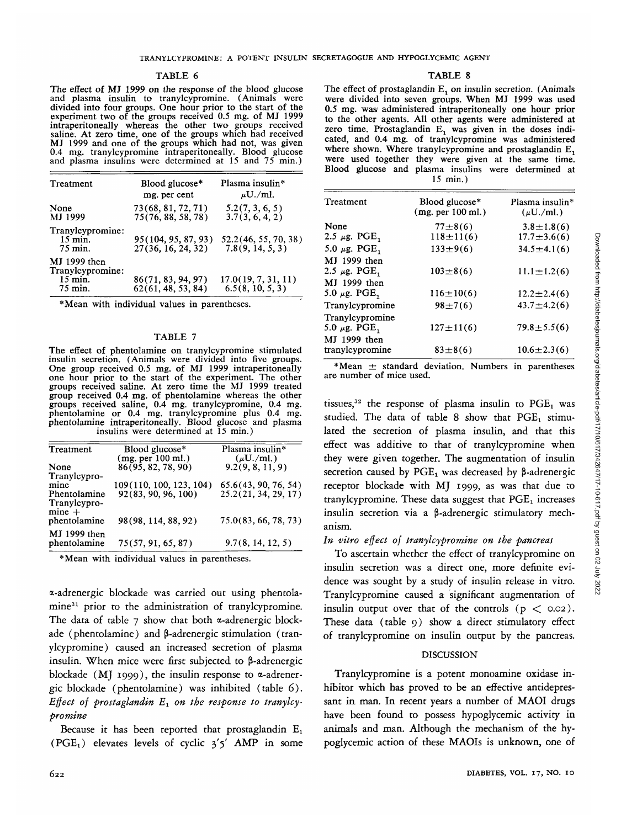## TABLE 6

The effect of MJ 1999 on the response of the blood glucose and plasma insulin to tranylcypromine. (Animals were divided into four groups. One hour prior to the start of the experiment two of the groups received 0.5 mg. of MJ 1999 intraperitoneally whereas the other two groups received saline. At zero time, one of the groups which had received MJ 1999 and one of the groups which had not, was given 0.4 mg. tranylcypromine intraperitoneally. Blood glucose and plasma insulins were determined at 15 and 75 min.)

| Treatment                                                | Blood glucose*<br>mg. per cent            | Plasma insulin*<br>$\mu$ U./ml.          |
|----------------------------------------------------------|-------------------------------------------|------------------------------------------|
| None<br>MJ 1999                                          | 73(68, 81, 72, 71)<br>75(76, 88, 58, 78)  | 5.2(7, 3, 6, 5)<br>3.7(3, 6, 4, 2)       |
| Tranylcypromine:<br>$15$ min.<br>75 min.                 | 95(104, 95, 87, 93)<br>27(36, 16, 24, 32) | 52.2(46, 55, 70, 38)<br>7.8(9, 14, 5, 3) |
| MJ 1999 then<br>Tranylcypromine:<br>$15$ min.<br>75 min. | 86(71, 83, 94, 97)<br>62(61, 48, 53, 84)  | 17.0(19, 7, 31, 11)<br>6.5(8, 10, 5, 3)  |

\*Mean with individual values in parentheses.

#### TABLE 7

The effect of phentolamine on tranylcypromine stimulated insulin secretion. (Animals were divided into five groups. One group received 0.5 mg. of MJ 1999 intraperitoneally one hour prior to the start of the experiment. The other groups received saline. At zero time the MJ 1999 treated group received 0.4 mg. of phentolamine whereas the other groups received saline, 0.4 mg. tranylcypromine, 0.4 mg. phentolamine or 0.4 mg. tranylcypromine plus 0.4 mg. phentolamine intraperitoneally. Blood glucose and plasma insulins were determined at 15 min.)

| Treatment                    | Blood glucose*                            | Plasma insulin*<br>$(\mu U./ml.)$ |
|------------------------------|-------------------------------------------|-----------------------------------|
| None                         | $(mg. per 100 ml.)$<br>86(95, 82, 78, 90) | 9.2(9, 8, 11, 9)                  |
| Tranylcypro-<br>mine         | 109(110, 100, 123, 104)                   | 65.6(43, 90, 76, 54)              |
| Phentolamine<br>Tranylcypro- | 92(83, 90, 96, 100)                       | 25.2(21, 34, 29, 17)              |
| $mine +$<br>phentolamine     | 98(98, 114, 88, 92)                       | 75.0(83, 66, 78, 73)              |
| MJ 1999 then<br>phentolamine | 75(57, 91, 65, 87)                        | 9.7(8, 14, 12, 5)                 |

\*Mean with individual values in parentheses.

a-adrenergic blockade was carried out using phentolamine<sup>31</sup> prior to the administration of tranylcypromine. The data of table  $7$  show that both  $\alpha$ -adrenergic blockade (phentolamine) and  $\beta$ -adrenergic stimulation (tranylcypromine) caused an increased secretion of plasma insulin. When mice were first subjected to 3-adrenergic blockade (MJ 1999), the insulin response to  $\alpha$ -adrenergic blockade (phentolamine) was inhibited (table 6). Effect of prostaglandin  $E_1$  on the response to tranylcy*promine*

Because it has been reported that prostaglandin  $E_1$ (PGE<sub>1</sub>) elevates levels of cyclic  $3'5'$  AMP in some

#### TABLE 8

The effect of prostaglandin E<sub>1</sub> on insulin secretion. (Animals were divided into seven groups. When MJ 1999 was used 0.5 mg. was administered intraperitoneally one hour prior to the other agents. All other agents were administered at zero time. Prostaglandin  $E_1$  was given in the doses indicated, and 0.4 mg. of tranylcypromine was administered where shown. Where tranylcypromine and prostaglandin  $E_1$ were used together they were given at the same time. Blood glucose and plasma insulins were determined at 15 min.)

| Treatment                            | Blood glucose*<br>(mg. per 100 ml.) | Plasma insulin*<br>$(\mu U./ml.)$ |
|--------------------------------------|-------------------------------------|-----------------------------------|
| None                                 | $77\pm8(6)$                         | $3.8 \pm 1.8(6)$                  |
| 2.5 $\mu$ g. PGE <sub>1</sub>        | $118 \pm 11(6)$                     | $17.7 \pm 3.6(6)$                 |
| 5.0 $\mu$ g. PGE <sub>1</sub>        | $133 \pm 9(6)$                      | $34.5 \pm 4.1(6)$                 |
| MJ 1999 then                         |                                     |                                   |
| 2.5 $\mu$ g. PGE <sub>1</sub>        | $103 \pm 8(6)$                      | $11.1 \pm 1.2(6)$                 |
| MJ 1999 then                         |                                     |                                   |
| 5.0 $\mu$ g. PGE,                    | $116 \pm 10(6)$                     | $12.2 \pm 2.4(6)$                 |
| Tranylcypromine                      | $98 \pm 7(6)$                       | $43.7 \pm 4.2(6)$                 |
| Tranylcypromine<br>5.0 $\mu$ g. PGE, | $127 \pm 11(6)$                     | $79.8 \pm 5.5(6)$                 |
| MJ 1999 then<br>tranylcypromine      | $83 \pm 8(6)$                       | $10.6 \pm 2.3(6)$                 |

\*Mean  $\pm$  standard deviation. Numbers in parentheses are number of mice used.

tissues,<sup>32</sup> the response of plasma insulin to PGE<sub>1</sub> was studied. The data of table 8 show that  $PGE_1$  stimulated the secretion of plasma insulin, and that this effect was additive to that of tranylcypromine when they were given together. The augmentation of insulin secretion caused by  $PGE_1$  was decreased by  $\beta$ -adrenergic receptor blockade with MJ 1999, as was that due to tranylcypromine. These data suggest that  $PGE<sub>1</sub>$  increases insulin secretion via a  $\beta$ -adrenergic stimulatory mechanism.

## *In vitro effect of tranylcypromine on the pancreas*

To ascertain whether the effect of tranylcypromine on insulin secretion was a direct one, more definite evidence was sought by a study of insulin release in vitro. Tranylcypromine caused a significant augmentation of insulin output over that of the controls  $(p < 0.02)$ . These data (table 9) show a direct stimulatory effect of tranylcypromine on insulin output by the pancreas.

#### DISCUSSION

Tranylcypromine is a potent monoamine oxidase inhibitor which has proved to be an effective antidepressant in man. In recent years a number of MAOI drugs have been found to possess hypoglycemic activity in animals and man. Although the mechanism of the hypoglycemic action of these MAOIs is unknown, one of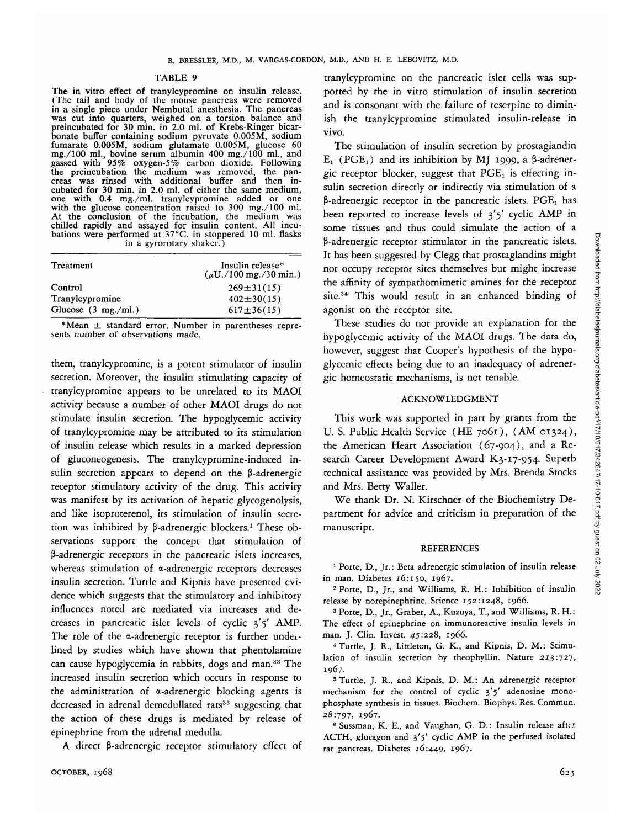#### TABLE 9

The in vitro effect of tranylcypromine on insulin release. (The tail and body of the mouse pancreas were removed in a single piece under Nembutal anesthesia. The pancreas was cut into quarters, weighed on a torsion balance and preincubated for 30 min. in 2.0 ml. of Krebs-Ringer bicar- bonate buffer containing sodium pyruvate 0.005M, sodium fumarate 0.005M, sodium glutamate 0.005M, glucose 60 mg./100 ml., bovine serum albumin 400 mg./100 ml., and<br>gassed with 95% oxygen-5% carbon dioxide. Following<br>the preincubation the medium was removed, the pan-<br>creas was rinsed with additional buffer and then in-<br>cubated fo one with 0.4 mg./ml. tranylcypromine added or one with the glucose concentration raised to 300 mg./100 ml. At the conclusion of the incubation, the medium was chilled rapidly and assayed for insulin content. All incubations were performed at  $37^{\circ}$ C. in stoppered 10 ml. flasks in a gyrorotary shaker.)

| Treatment                     | Insulin release*<br>$(\mu U. / 100 \text{ mg.} / 30 \text{ min.})$ |
|-------------------------------|--------------------------------------------------------------------|
| Control                       | $269 \pm 31(15)$                                                   |
| Tranylcypromine               | $402 \pm 30(15)$                                                   |
| Glucose $(3 \text{ mg./ml.})$ | $617 \pm 36(15)$                                                   |

\*Mean  $\pm$  standard error. Number in parentheses represents number of observations made.

them, tranylcypromine, is a potent stimulator of insulin secretion. Moreover, the insulin stimulating capacity of tranylcypromine appears to be unrelated to its MAOI activity because a number of other MAOI drugs do not stimulate insulin secretion. The hypoglycemic activity of tranylcypromine may be attributed to its stimulation of insulin release which results in a marked depression of gluconeogenesis. The tranylcypromine-induced insulin secretion appears to depend on the  $\beta$ -adrenergic receptor stimulatory activity of the drug. This activity was manifest by its activation of hepatic glycogenolysis, and like isoproterenol, *its* stimulation of insulin secretion was inhibited by β-adrenergic blockers.<sup>1</sup> These observations support the concept that stimulation of P-adrenergic receptors in the pancreatic islets increases, whereas stimulation of  $\alpha$ -adrenergic receptors decreases insulin secretion. Turtle and Kipnis have presented evidence which suggests that the stimulatory and inhibitory influences noted are mediated via increases and decreases in pancreatic islet levels of cyclic 3'5' AMP. The role of the a-adrenergic receptor is further undeilined by studies which have shown that phentolamine can cause hypoglycemia in rabbits, dogs and man.33 The increased insulin secretion which occurs in response to the administration of a-adrenergic blocking agents is decreased in adrenal demedullated rats<sup>33</sup> suggesting that the action of these drugs is mediated by release of epinephrine from the adrenal medulla.

A direct  $\beta$ -adrenergic receptor stimulatory effect of

tranylcypromine on the pancreatic islet cells was supported by the in vitro stimulation of insulin secretion and is consonant with the failure of reserpine to diminish the tranylcypromine stimulated insulin-release in vivo.

The stimulation of insulin secretion by prostaglandin  $E_1$  (PGE<sub>1</sub>) and its inhibition by MJ 1999, a  $\beta$ -adrenergic receptor blocker, suggest that  $PGE<sub>1</sub>$  is effecting insulin secretion directly or indirectly via stimulation of a  $\beta$ -adrenergic receptor in the pancreatic islets. PGE<sub>1</sub> has been reported to increase levels of 3'5' cyclic AMP in some tissues and thus could simulate the action of a P-adrenergic receptor stimulator in the pancreatic islets. It has been suggested by Clegg that prostaglandins might not occupy receptor sites themselves but might increase the affinity of sympathomimetic amines for the receptor site.<sup>34</sup> This would result in an enhanced binding of agonist on the receptor site.

These studies do not provide an explanation for the hypoglycemic activity of the MAOI drugs. The data do, however, suggest that Cooper's hypothesis of the hypoglycemic effects being due to an inadequacy of adrenergic homeostatic mechanisms, is not tenable.

#### ACKNOWLEDGMENT

This work was supported in part by grants from the U. S. Public Health Service (HE 7061), (AM 01324), the American Heart Association (67-904), and a Research Career Development Award K3-17-954. Superb technical assistance was provided by Mrs. Brenda Stocks and Mrs. Betty Waller.

We thank Dr. N. Kirschner of the Biochemistry Department for advice and criticism in preparation of the manuscript.

### **REFERENCES**

<sup>1</sup> Porte, D., Jr.: Beta adrenergic stimulation of insulin release in man. Diabetes 16:150, 1967. <sup>2</sup>

 Porte, D., Jr., and Williams, R. H.: Inhibition of insulin release by norepinephrine. Science 152:1248, 1966.

<sup>3</sup> Porte, D., Jr., Graber, A., Kuzuya, T., and Williams, R. H.: The effect of epinephrine on immunoreactive insulin levels in man. J. Clin. Invest. *45:228,* 1966. <sup>4</sup>

 Turtle, J. R., Littleton, G. K., and Kipnis, D. M.: Stimulation of insulin secretion by theophyllin. Nature 213:727, 1967.

 Turtle, J. R., and Kipnis, D. M.: An adrenergic receptor mechanism for the control of cyclic 3'5' adenosine monophosphate synthesis in tissues. Biochem. Biophys. Res. Commun. 28:797, 1967. <sup>6</sup>

<sup>6</sup> Sussman, K. E., and Vaughan, G. D.: Insulin release after ACTH, glucagon and 3\*5' cyclic AMP in the perfused isolated rat pancreas. Diabetes 16:449, 1967.